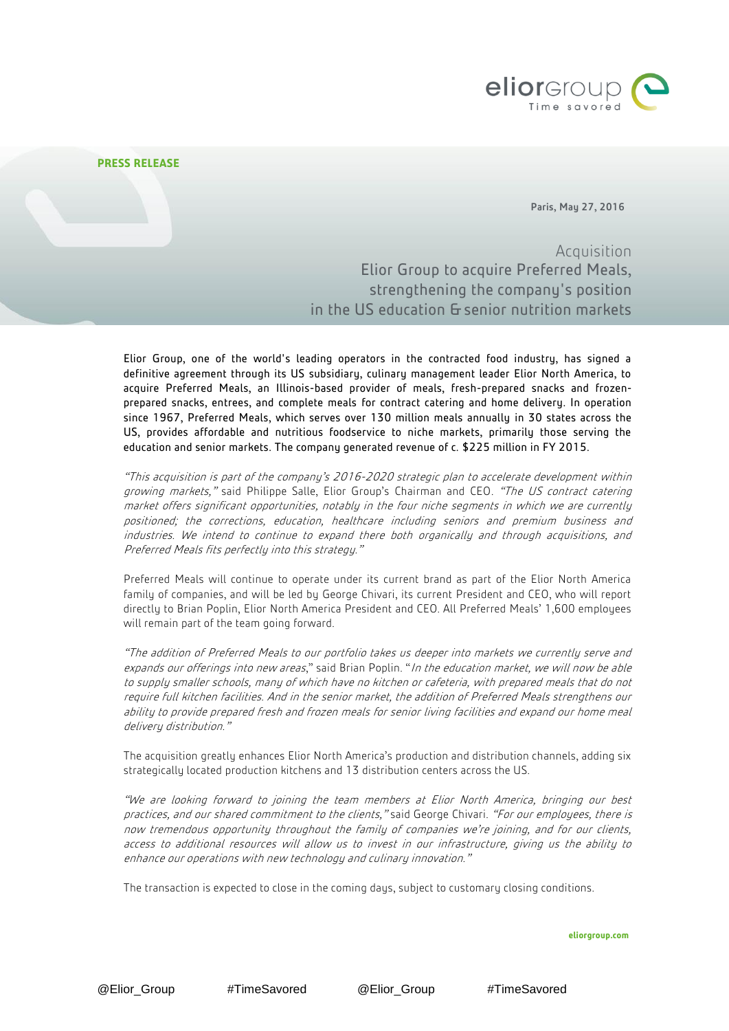

Paris, May 27, 2016

Acquisition Elior Group to acquire Preferred Meals, strengthening the company's position in the US education & senior nutrition markets

Elior Group, one of the world's leading operators in the contracted food industry, has signed a definitive agreement through its US subsidiary, culinary management leader Elior North America, to acquire Preferred Meals, an Illinois-based provider of meals, fresh-prepared snacks and frozenprepared snacks, entrees, and complete meals for contract catering and home delivery. In operation since 1967, Preferred Meals, which serves over 130 million meals annually in 30 states across the US, provides affordable and nutritious foodservice to niche markets, primarily those serving the education and senior markets. The company generated revenue of c. \$225 million in FY 2015.

"This acquisition is part of the company's 2016-2020 strategic plan to accelerate development within growing markets," said Philippe Salle, Elior Group's Chairman and CEO. "The US contract catering market offers significant opportunities, notably in the four niche segments in which we are currently positioned; the corrections, education, healthcare including seniors and premium business and industries. We intend to continue to expand there both organically and through acquisitions, and Preferred Meals fits perfectly into this strategy."

Preferred Meals will continue to operate under its current brand as part of the Elior North America family of companies, and will be led by George Chivari, its current President and CEO, who will report directly to Brian Poplin, Elior North America President and CEO. All Preferred Meals' 1,600 employees will remain part of the team going forward.

"The addition of Preferred Meals to our portfolio takes us deeper into markets we currently serve and expands our offerings into new areas," said Brian Poplin. "In the education market, we will now be able to supply smaller schools, many of which have no kitchen or cafeteria, with prepared meals that do not require full kitchen facilities. And in the senior market, the addition of Preferred Meals strengthens our ability to provide prepared fresh and frozen meals for senior living facilities and expand our home meal delivery distribution."

The acquisition greatly enhances Elior North America's production and distribution channels, adding six strategically located production kitchens and 13 distribution centers across the US.

"We are looking forward to joining the team members at Elior North America, bringing our best practices, and our shared commitment to the clients," said George Chivari. "For our employees, there is now tremendous opportunity throughout the family of companies we're joining, and for our clients, access to additional resources will allow us to invest in our infrastructure, giving us the ability to enhance our operations with new technology and culinary innovation."

The transaction is expected to close in the coming days, subject to customary closing conditions.

**eliorgroup.com**

@Elior\_Group #TimeSavored @Elior\_Group #TimeSavored